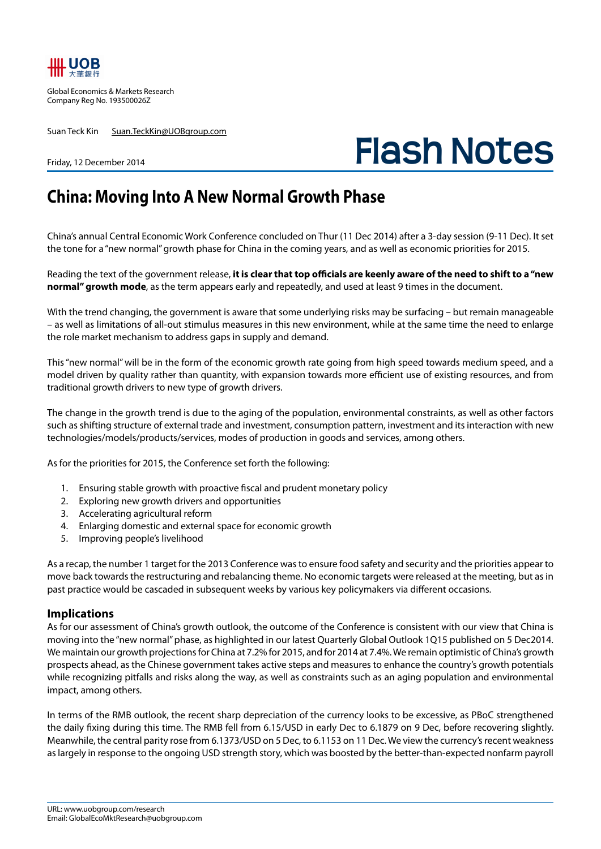

Global Economics & Markets Research Company Reg No. 193500026Z

Friday, 12 December 2014

Suan Teck Kin Suan.TeckKin@UOBgroup.com

## **Flash Notes**

## **China: Moving Into A New Normal Growth Phase**

China's annual Central Economic Work Conference concluded on Thur (11 Dec 2014) after a 3-day session (9-11 Dec). It set the tone for a "new normal" growth phase for China in the coming years, and as well as economic priorities for 2015.

Reading the text of the government release, **it is clear that top officials are keenly aware of the need to shift to a "new normal" growth mode**, as the term appears early and repeatedly, and used at least 9 times in the document.

With the trend changing, the government is aware that some underlying risks may be surfacing – but remain manageable – as well as limitations of all-out stimulus measures in this new environment, while at the same time the need to enlarge the role market mechanism to address gaps in supply and demand.

This "new normal" will be in the form of the economic growth rate going from high speed towards medium speed, and a model driven by quality rather than quantity, with expansion towards more efficient use of existing resources, and from traditional growth drivers to new type of growth drivers.

The change in the growth trend is due to the aging of the population, environmental constraints, as well as other factors such as shifting structure of external trade and investment, consumption pattern, investment and its interaction with new technologies/models/products/services, modes of production in goods and services, among others.

As for the priorities for 2015, the Conference set forth the following:

- 1. Ensuring stable growth with proactive fiscal and prudent monetary policy
- 2. Exploring new growth drivers and opportunities
- 3. Accelerating agricultural reform
- 4. Enlarging domestic and external space for economic growth
- 5. Improving people's livelihood

As a recap, the number 1 target for the 2013 Conference was to ensure food safety and security and the priorities appear to move back towards the restructuring and rebalancing theme. No economic targets were released at the meeting, but as in past practice would be cascaded in subsequent weeks by various key policymakers via different occasions.

## **Implications**

As for our assessment of China's growth outlook, the outcome of the Conference is consistent with our view that China is moving into the "new normal" phase, as highlighted in our latest Quarterly Global Outlook 1Q15 published on 5 Dec2014. We maintain our growth projections for China at 7.2% for 2015, and for 2014 at 7.4%. We remain optimistic of China's growth prospects ahead, as the Chinese government takes active steps and measures to enhance the country's growth potentials while recognizing pitfalls and risks along the way, as well as constraints such as an aging population and environmental impact, among others.

In terms of the RMB outlook, the recent sharp depreciation of the currency looks to be excessive, as PBoC strengthened the daily fixing during this time. The RMB fell from 6.15/USD in early Dec to 6.1879 on 9 Dec, before recovering slightly. Meanwhile, the central parity rose from 6.1373/USD on 5 Dec, to 6.1153 on 11 Dec. We view the currency's recent weakness as largely in response to the ongoing USD strength story, which was boosted by the better-than-expected nonfarm payroll